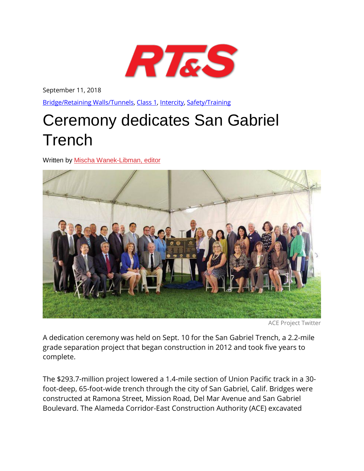

September 11, 2018

[Bridge/Retaining Walls/Tunnels,](https://www.rtands.com/category/track-structure/bridge-retaining-walls-tunnels/) [Class 1,](https://www.rtands.com/category/freight/class-1/) [Intercity,](https://www.rtands.com/category/passenger/intercity/) [Safety/Training](https://www.rtands.com/category/safety-training/)

## Ceremony dedicates San Gabriel Trench

Written by [Mischa Wanek-Libman, editor](https://www.rtands.com/author/mischa-wanek-libman-editor/)



ACE Project Twitter

A dedication ceremony was held on Sept. 10 for the San Gabriel Trench, a 2.2-mile grade separation project that began construction in 2012 and took five years to complete.

The \$293.7-million project lowered a 1.4-mile section of Union Pacific track in a 30 foot-deep, 65-foot-wide trench through the city of San Gabriel, Calif. Bridges were constructed at Ramona Street, Mission Road, Del Mar Avenue and San Gabriel Boulevard. The Alameda Corridor-East Construction Authority (ACE) excavated